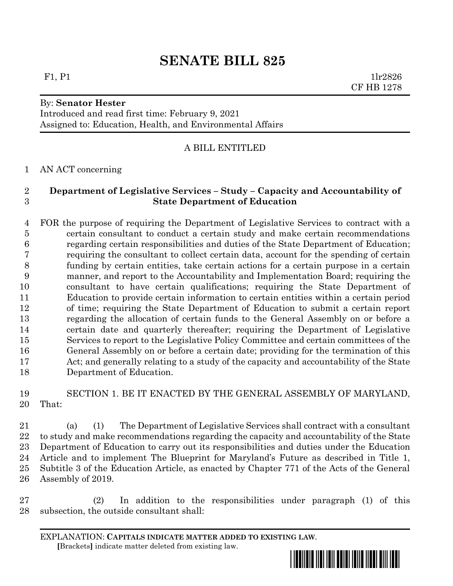# **SENATE BILL 825**

### By: **Senator Hester**

Introduced and read first time: February 9, 2021 Assigned to: Education, Health, and Environmental Affairs

#### A BILL ENTITLED

#### AN ACT concerning

# **Department of Legislative Services – Study – Capacity and Accountability of State Department of Education**

 FOR the purpose of requiring the Department of Legislative Services to contract with a certain consultant to conduct a certain study and make certain recommendations regarding certain responsibilities and duties of the State Department of Education; requiring the consultant to collect certain data, account for the spending of certain funding by certain entities, take certain actions for a certain purpose in a certain manner, and report to the Accountability and Implementation Board; requiring the consultant to have certain qualifications; requiring the State Department of Education to provide certain information to certain entities within a certain period of time; requiring the State Department of Education to submit a certain report regarding the allocation of certain funds to the General Assembly on or before a certain date and quarterly thereafter; requiring the Department of Legislative Services to report to the Legislative Policy Committee and certain committees of the General Assembly on or before a certain date; providing for the termination of this Act; and generally relating to a study of the capacity and accountability of the State Department of Education.

## SECTION 1. BE IT ENACTED BY THE GENERAL ASSEMBLY OF MARYLAND, That:

 (a) (1) The Department of Legislative Services shall contract with a consultant to study and make recommendations regarding the capacity and accountability of the State Department of Education to carry out its responsibilities and duties under the Education Article and to implement The Blueprint for Maryland's Future as described in Title 1, Subtitle 3 of the Education Article, as enacted by Chapter 771 of the Acts of the General Assembly of 2019.

 (2) In addition to the responsibilities under paragraph (1) of this subsection, the outside consultant shall:

EXPLANATION: **CAPITALS INDICATE MATTER ADDED TO EXISTING LAW**.  **[**Brackets**]** indicate matter deleted from existing law.



F1, P1  $1\text{lr}2826$ CF HB 1278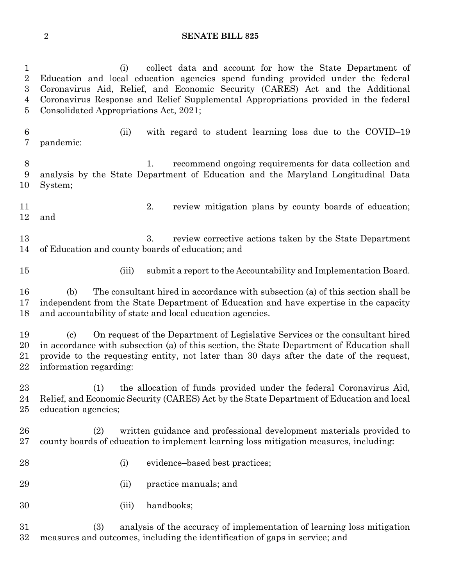#### **SENATE BILL 825**

 (i) collect data and account for how the State Department of Education and local education agencies spend funding provided under the federal Coronavirus Aid, Relief, and Economic Security (CARES) Act and the Additional Coronavirus Response and Relief Supplemental Appropriations provided in the federal Consolidated Appropriations Act, 2021; (ii) with regard to student learning loss due to the COVID–19

 pandemic: 1. recommend ongoing requirements for data collection and

 analysis by the State Department of Education and the Maryland Longitudinal Data System;

 2. review mitigation plans by county boards of education; and

13 3. review corrective actions taken by the State Department of Education and county boards of education; and

(iii) submit a report to the Accountability and Implementation Board.

 (b) The consultant hired in accordance with subsection (a) of this section shall be independent from the State Department of Education and have expertise in the capacity and accountability of state and local education agencies.

 (c) On request of the Department of Legislative Services or the consultant hired in accordance with subsection (a) of this section, the State Department of Education shall provide to the requesting entity, not later than 30 days after the date of the request, information regarding:

 (1) the allocation of funds provided under the federal Coronavirus Aid, Relief, and Economic Security (CARES) Act by the State Department of Education and local education agencies;

 (2) written guidance and professional development materials provided to county boards of education to implement learning loss mitigation measures, including:

- 28 (i) evidence–based best practices;
- (ii) practice manuals; and
- (iii) handbooks;

 (3) analysis of the accuracy of implementation of learning loss mitigation measures and outcomes, including the identification of gaps in service; and